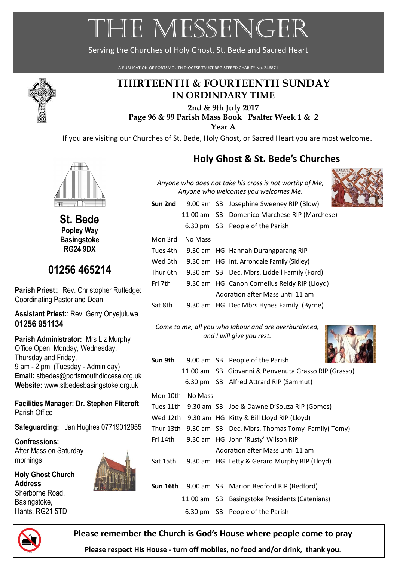# THE MESSENGER

Serving the Churches of Holy Ghost, St. Bede and Sacred Heart

A PUBLICATION OF PORTSMOUTH DIOCESE TRUST REGISTERED CHARITY No. 246871



### **THIRTEENTH & FOURTEENTH SUNDAY IN ORDINDARY TIME**

**2nd & 9th July 2017 Page 96 & 99 Parish Mass Book Psalter Week 1 & 2 Year A** 

If you are visiting our Churches of St. Bede, Holy Ghost, or Sacred Heart you are most welcome.



**St. Bede Popley Way Basingstoke RG24 9DX**

# **01256 465214**

**Parish Priest**:: Rev. Christopher Rutledge: Coordinating Pastor and Dean

**Assistant Priest:**: Rev. Gerry Onyejuluwa **01256 951134**

**Parish Administrator:** Mrs Liz Murphy Office Open: Monday, Wednesday, Thursday and Friday, 9 am - 2 pm (Tuesday - Admin day) **Email:** [stbedes@portsmouthdiocese.org.uk](mailto:stbedes@portsmouthdiocese.org.uk) **Website:** [www.stbedesbasingstoke.org.uk](http://www.stbedesbasingstoke.org.uk)

**Facilities Manager: Dr. Stephen Flitcroft** Parish Office

**Safeguarding:** Jan Hughes 07719012955

**Confressions:** After Mass on Saturday mornings

**Holy Ghost Church Address** Sherborne Road, Basingstoke, Hants. RG21 5TD



## **Holy Ghost & St. Bede's Churches**

*Anyone who does not take his cross is not worthy of Me, Anyone who welcomes you welcomes Me.*



| Sun 2nd  |         | 9.00 am SB Josephine Sweeney RIP (Blow)      |
|----------|---------|----------------------------------------------|
|          |         | 11.00 am SB Domenico Marchese RIP (Marchese) |
|          |         | 6.30 pm SB People of the Parish              |
| Mon 3rd  | No Mass |                                              |
| Tues 4th |         | 9.30 am HG Hannah Durangparang RIP           |
| Wed 5th  |         | 9.30 am HG Int. Arrondale Family (Sidley)    |
| Thur 6th |         | 9.30 am SB Dec. Mbrs. Liddell Family (Ford)  |
| Fri 7th  |         | 9.30 am HG Canon Cornelius Reidy RIP (Lloyd) |
|          |         | Adoration after Mass until 11 am             |
| Sat 8th  |         | 9.30 am HG Dec Mbrs Hynes Family (Byrne)     |

*Come to me, all you who labour and are overburdened, and I will give you rest.*



| Sun 9th   |                  | 9.00 am SB People of the Parish                         |
|-----------|------------------|---------------------------------------------------------|
|           |                  | 11.00 am SB Giovanni & Benvenuta Grasso RIP (Grasso)    |
|           |                  | 6.30 pm SB Alfred Attrard RIP (Sammut)                  |
|           | Mon 10th No Mass |                                                         |
| Tues 11th |                  | 9.30 am SB Joe & Dawne D'Souza RIP (Gomes)              |
|           |                  | Wed 12th 9.30 am HG Kitty & Bill Lloyd RIP (Lloyd)      |
| Thur 13th |                  | 9.30 am SB Dec. Mbrs. Thomas Tomy Family (Tomy)         |
| Fri 14th  |                  | 9.30 am HG John 'Rusty' Wilson RIP                      |
|           |                  | Adoration after Mass until 11 am                        |
| Sat 15th  |                  | 9.30 am HG Letty & Gerard Murphy RIP (Lloyd)            |
|           |                  |                                                         |
|           |                  | <b>Sun 16th</b> 9.00 am SB Marion Bedford RIP (Bedford) |
|           |                  | 11.00 am SB Basingstoke Presidents (Catenians)          |
|           |                  | 6.30 pm SB People of the Parish                         |



**Please remember the Church is God's House where people come to pray**

**Please respect His House - turn off mobiles, no food and/or drink, thank you.**